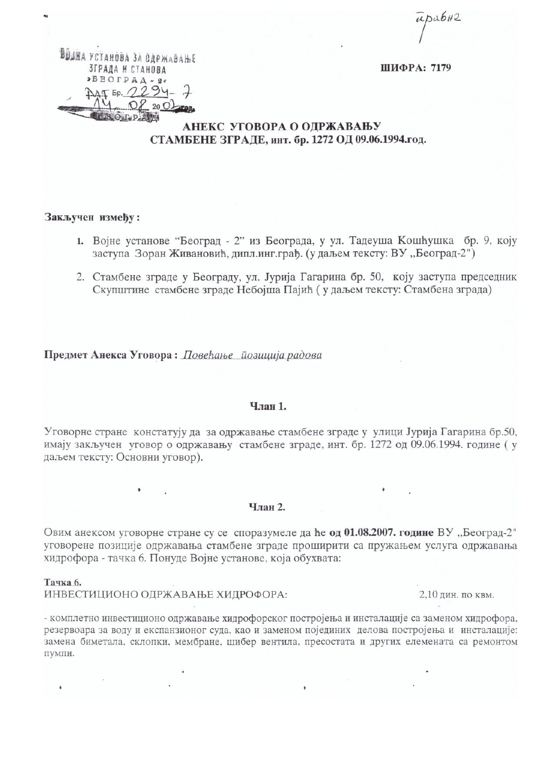$\overline{\mu}$ pa $6H2$ 

ШИФРА: 7179

# АНЕКС УГОВОРА О ОДРЖАВАЊУ СТАМБЕНЕ ЗГРАДЕ, инт. бр. 1272 ОД 09.06.1994.год.

### Закључен између:

ВОЛНА УСТАНОВА ЗА ОДРЖАВАЊЕ

ЗГРАДА И СТАНОВА  $\triangleright$ BBO $\Gamma$ PA $\Lambda$  ~ 2\*

**COLL D. ATA** 

 $T_{50}$ 

 $94 -$ 

 $20<sup>o</sup>$ 

- 1. Војне установе "Београд 2" из Београда, у ул. Тадеуша Кошћушка бр. 9, коју заступа Зоран Живановић, дипл.инг.грађ. (у даљем тексту: ВУ, Београд-2")
- 2. Стамбене зграде у Београду, ул. Јурија Гагарина бр. 50, коју заступа председник Скупштине стамбене зграде Небојша Пајић (у даљем тексту: Стамбена зграда)

Предмет Анекса Уговора: Повећање йозиција радова

## Члан 1.

Уговорне стране констатују да за одржавање стамбене зграде у улици Јурија Гагарина бр.50, имају закључен уговор о одржавању стамбене зграде, инт. бр. 1272 од 09.06.1994. године (у даљем тексту: Основни уговор).

#### Члан 2.

Овим анексом уговорне стране су се споразумеле да ће од 01.08.2007. године ВУ "Београд-2" уговорене позиције одржавања стамбене зграде проширити са пружањем услуга одржавања хидрофора - тачка 6. Понуде Војне установе, која обухвата:

#### Тачка б.

ИНВЕСТИЦИОНО ОДРЖАВАЊЕ ХИДРОФОРА:

2,10 дин. по квм.

- комплетно инвестиционо одржавање хидрофорског постројења и инсталације са заменом хидрофора, резервоара за воду и експанзионог суда, као и заменом појединих делова постројења и инсталације: замена биметала, склопки, мембране, шибер вентила, пресостата и других елемената са ремонтом пумпи.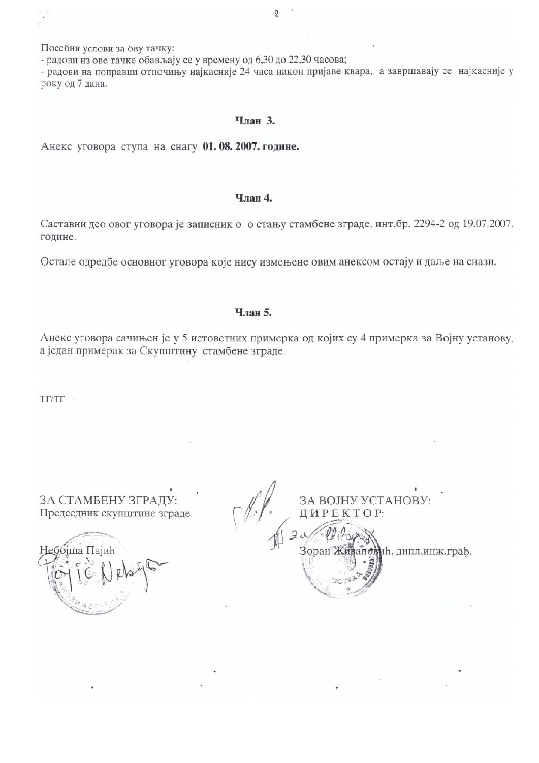Посебни услови за ову тачку:

- радови из ове тачке обављају се у времену од 6,30 до 22,30 часова;

- радови на поправци отпочињу најкасније 24 часа након пријаве квара, а завршавају се најкасније у року од 7 дана.

### Члан 3.

Анекс уговора ступа на снагу 01.08.2007. године.

# Члан 4.

Саставни део овог уговора је записник о о стању стамбене зграде, инт.бр. 2294-2 од 19.07.2007. године.

Остале одредбе основног уговора које нису измењене овим анексом остају и даље на снази.

# Члан 5.

Анекс уговора сачињен је у 5 истоветних примерка од којих су 4 примерка за Војну установу, а један примерак за Скупштину стамбене зграде.

TI/TI

ЗА СТАМБЕНУ ЗГРАДУ: Председник скупштине зграде

ебојша Пајић

ЗА ВОЈНУ УСТАНОВУ: ДИРЕКТОР: Зоран Живановић, дипл.инж.грађ.